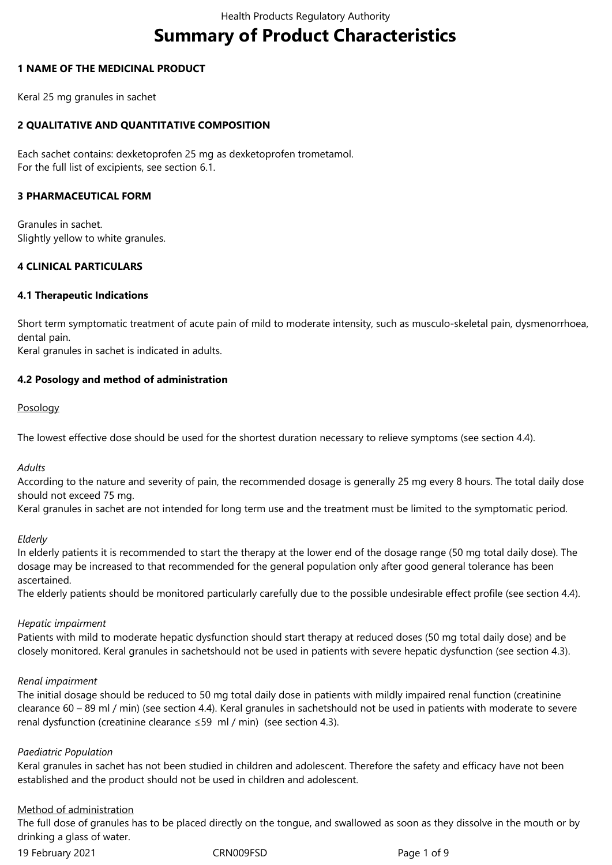# **Summary of Product Characteristics**

### **1 NAME OF THE MEDICINAL PRODUCT**

Keral 25 mg granules in sachet

## **2 QUALITATIVE AND QUANTITATIVE COMPOSITION**

Each sachet contains: dexketoprofen 25 mg as dexketoprofen trometamol. For the full list of excipients, see section 6.1.

#### **3 PHARMACEUTICAL FORM**

Granules in sachet. Slightly yellow to white granules.

### **4 CLINICAL PARTICULARS**

### **4.1 Therapeutic Indications**

Short term symptomatic treatment of acute pain of mild to moderate intensity, such as musculo-skeletal pain, dysmenorrhoea, dental pain.

Keral granules in sachet is indicated in adults.

### **4.2 Posology and method of administration**

#### **Posology**

The lowest effective dose should be used for the shortest duration necessary to relieve symptoms (see section 4.4).

#### *Adults*

According to the nature and severity of pain, the recommended dosage is generally 25 mg every 8 hours. The total daily dose should not exceed 75 mg.

Keral granules in sachet are not intended for long term use and the treatment must be limited to the symptomatic period.

#### *Elderly*

In elderly patients it is recommended to start the therapy at the lower end of the dosage range (50 mg total daily dose). The dosage may be increased to that recommended for the general population only after good general tolerance has been ascertained.

The elderly patients should be monitored particularly carefully due to the possible undesirable effect profile (see section 4.4).

#### *Hepatic impairment*

Patients with mild to moderate hepatic dysfunction should start therapy at reduced doses (50 mg total daily dose) and be closely monitored. Keral granules in sachetshould not be used in patients with severe hepatic dysfunction (see section 4.3).

#### *Renal impairment*

The initial dosage should be reduced to 50 mg total daily dose in patients with mildly impaired renal function (creatinine clearance 60 – 89 ml / min) (see section 4.4). Keral granules in sachetshould not be used in patients with moderate to severe renal dysfunction (creatinine clearance ≤59 ml / min) (see section 4.3).

#### *Paediatric Population*

Keral granules in sachet has not been studied in children and adolescent. Therefore the safety and efficacy have not been established and the product should not be used in children and adolescent.

#### Method of administration

The full dose of granules has to be placed directly on the tongue, and swallowed as soon as they dissolve in the mouth or by drinking a glass of water.

19 February 2021 CRN009FSD Page 1 of 9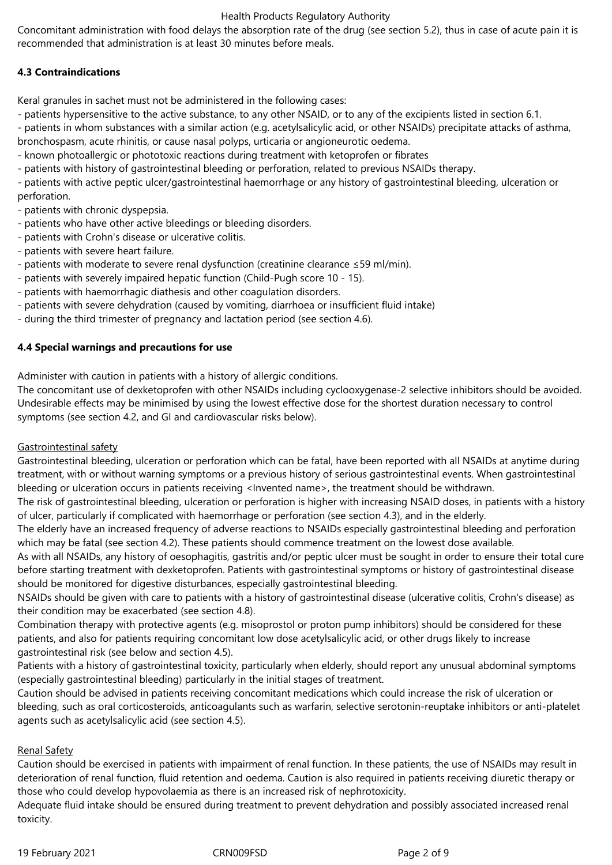Concomitant administration with food delays the absorption rate of the drug (see section 5.2), thus in case of acute pain it is recommended that administration is at least 30 minutes before meals.

# **4.3 Contraindications**

Keral granules in sachet must not be administered in the following cases:

- patients hypersensitive to the active substance, to any other NSAID, or to any of the excipients listed in section 6.1.

- patients in whom substances with a similar action (e.g. acetylsalicylic acid, or other NSAIDs) precipitate attacks of asthma, bronchospasm, acute rhinitis, or cause nasal polyps, urticaria or angioneurotic oedema.

- known photoallergic or phototoxic reactions during treatment with ketoprofen or fibrates

- patients with history of gastrointestinal bleeding or perforation, related to previous NSAIDs therapy.

- patients with active peptic ulcer/gastrointestinal haemorrhage or any history of gastrointestinal bleeding, ulceration or perforation.

- patients with chronic dyspepsia.

- patients who have other active bleedings or bleeding disorders.
- patients with Crohn's disease or ulcerative colitis.
- patients with severe heart failure.
- patients with moderate to severe renal dysfunction (creatinine clearance ≤59 ml/min).
- patients with severely impaired hepatic function (Child-Pugh score 10 15).
- patients with haemorrhagic diathesis and other coagulation disorders.
- patients with severe dehydration (caused by vomiting, diarrhoea or insufficient fluid intake)
- during the third trimester of pregnancy and lactation period (see section 4.6).

### **4.4 Special warnings and precautions for use**

Administer with caution in patients with a history of allergic conditions.

The concomitant use of dexketoprofen with other NSAIDs including cyclooxygenase-2 selective inhibitors should be avoided. Undesirable effects may be minimised by using the lowest effective dose for the shortest duration necessary to control symptoms (see section 4.2, and GI and cardiovascular risks below).

#### Gastrointestinal safety

Gastrointestinal bleeding, ulceration or perforation which can be fatal, have been reported with all NSAIDs at anytime during treatment, with or without warning symptoms or a previous history of serious gastrointestinal events. When gastrointestinal bleeding or ulceration occurs in patients receiving <Invented name>, the treatment should be withdrawn.

The risk of gastrointestinal bleeding, ulceration or perforation is higher with increasing NSAID doses, in patients with a history of ulcer, particularly if complicated with haemorrhage or perforation (see section 4.3), and in the elderly.

The elderly have an increased frequency of adverse reactions to NSAIDs especially gastrointestinal bleeding and perforation which may be fatal (see section 4.2). These patients should commence treatment on the lowest dose available.

As with all NSAIDs, any history of oesophagitis, gastritis and/or peptic ulcer must be sought in order to ensure their total cure before starting treatment with dexketoprofen. Patients with gastrointestinal symptoms or history of gastrointestinal disease should be monitored for digestive disturbances, especially gastrointestinal bleeding.

NSAIDs should be given with care to patients with a history of gastrointestinal disease (ulcerative colitis, Crohn's disease) as their condition may be exacerbated (see section 4.8).

Combination therapy with protective agents (e.g. misoprostol or proton pump inhibitors) should be considered for these patients, and also for patients requiring concomitant low dose acetylsalicylic acid, or other drugs likely to increase gastrointestinal risk (see below and section 4.5).

Patients with a history of gastrointestinal toxicity, particularly when elderly, should report any unusual abdominal symptoms (especially gastrointestinal bleeding) particularly in the initial stages of treatment.

Caution should be advised in patients receiving concomitant medications which could increase the risk of ulceration or bleeding, such as oral corticosteroids, anticoagulants such as warfarin, selective serotonin-reuptake inhibitors or anti-platelet agents such as acetylsalicylic acid (see section 4.5).

# Renal Safety

Caution should be exercised in patients with impairment of renal function. In these patients, the use of NSAIDs may result in deterioration of renal function, fluid retention and oedema. Caution is also required in patients receiving diuretic therapy or those who could develop hypovolaemia as there is an increased risk of nephrotoxicity.

Adequate fluid intake should be ensured during treatment to prevent dehydration and possibly associated increased renal toxicity.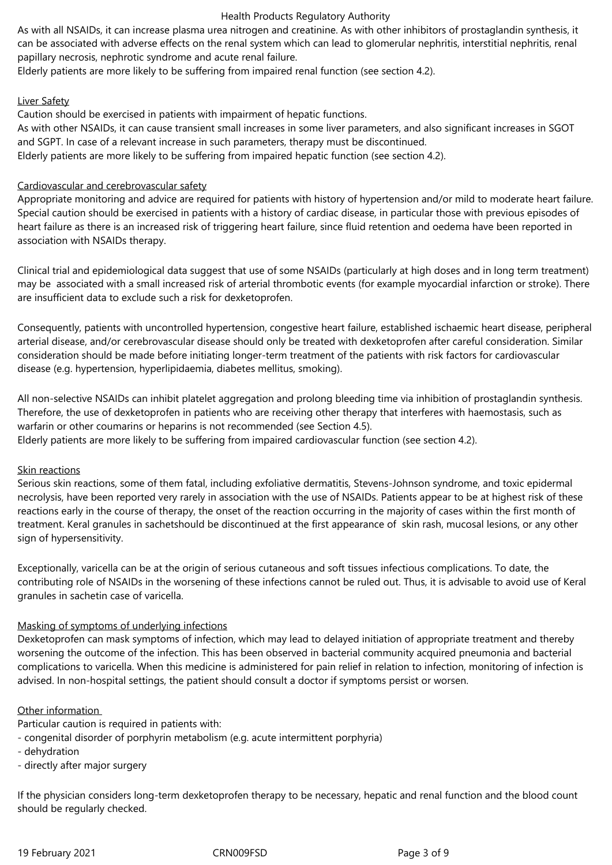As with all NSAIDs, it can increase plasma urea nitrogen and creatinine. As with other inhibitors of prostaglandin synthesis, it can be associated with adverse effects on the renal system which can lead to glomerular nephritis, interstitial nephritis, renal papillary necrosis, nephrotic syndrome and acute renal failure.

Elderly patients are more likely to be suffering from impaired renal function (see section 4.2).

### Liver Safety

Caution should be exercised in patients with impairment of hepatic functions.

As with other NSAIDs, it can cause transient small increases in some liver parameters, and also significant increases in SGOT and SGPT. In case of a relevant increase in such parameters, therapy must be discontinued.

Elderly patients are more likely to be suffering from impaired hepatic function (see section 4.2).

#### Cardiovascular and cerebrovascular safety

Appropriate monitoring and advice are required for patients with history of hypertension and/or mild to moderate heart failure. Special caution should be exercised in patients with a history of cardiac disease, in particular those with previous episodes of heart failure as there is an increased risk of triggering heart failure, since fluid retention and oedema have been reported in association with NSAIDs therapy.

Clinical trial and epidemiological data suggest that use of some NSAIDs (particularly at high doses and in long term treatment) may be associated with a small increased risk of arterial thrombotic events (for example myocardial infarction or stroke). There are insufficient data to exclude such a risk for dexketoprofen.

Consequently, patients with uncontrolled hypertension, congestive heart failure, established ischaemic heart disease, peripheral arterial disease, and/or cerebrovascular disease should only be treated with dexketoprofen after careful consideration. Similar consideration should be made before initiating longer-term treatment of the patients with risk factors for cardiovascular disease (e.g. hypertension, hyperlipidaemia, diabetes mellitus, smoking).

All non-selective NSAIDs can inhibit platelet aggregation and prolong bleeding time via inhibition of prostaglandin synthesis. Therefore, the use of dexketoprofen in patients who are receiving other therapy that interferes with haemostasis, such as warfarin or other coumarins or heparins is not recommended (see Section 4.5).

Elderly patients are more likely to be suffering from impaired cardiovascular function (see section 4.2).

# Skin reactions

Serious skin reactions, some of them fatal, including exfoliative dermatitis, Stevens-Johnson syndrome, and toxic epidermal necrolysis, have been reported very rarely in association with the use of NSAIDs. Patients appear to be at highest risk of these reactions early in the course of therapy, the onset of the reaction occurring in the majority of cases within the first month of treatment. Keral granules in sachetshould be discontinued at the first appearance of skin rash, mucosal lesions, or any other sign of hypersensitivity.

Exceptionally, varicella can be at the origin of serious cutaneous and soft tissues infectious complications. To date, the contributing role of NSAIDs in the worsening of these infections cannot be ruled out. Thus, it is advisable to avoid use of Keral granules in sachetin case of varicella.

# Masking of symptoms of underlying infections

Dexketoprofen can mask symptoms of infection, which may lead to delayed initiation of appropriate treatment and thereby worsening the outcome of the infection. This has been observed in bacterial community acquired pneumonia and bacterial complications to varicella. When this medicine is administered for pain relief in relation to infection, monitoring of infection is advised. In non-hospital settings, the patient should consult a doctor if symptoms persist or worsen.

# Other information

Particular caution is required in patients with:

- congenital disorder of porphyrin metabolism (e.g. acute intermittent porphyria)
- dehydration
- directly after major surgery

If the physician considers long-term dexketoprofen therapy to be necessary, hepatic and renal function and the blood count should be regularly checked.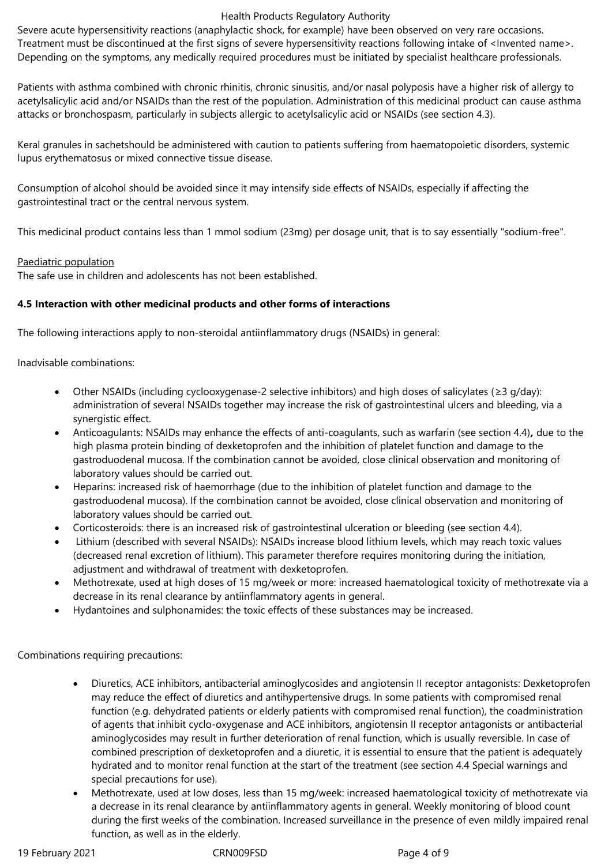Severe acute hypersensitivity reactions (anaphylactic shock, for example) have been observed on very rare occasions. Treatment must be discontinued at the first signs of severe hypersensitivity reactions following intake of <Invented name>. Depending on the symptoms, any medically required procedures must be initiated by specialist healthcare professionals.

Patients with asthma combined with chronic rhinitis, chronic sinusitis, and/or nasal polyposis have a higher risk of allergy to acetylsalicylic acid and/or NSAIDs than the rest of the population. Administration of this medicinal product can cause asthma attacks or bronchospasm, particularly in subjects allergic to acetylsalicylic acid or NSAIDs (see section 4.3).

Keral granules in sachetshould be administered with caution to patients suffering from haematopoietic disorders, systemic lupus erythematosus or mixed connective tissue disease.

Consumption of alcohol should be avoided since it may intensify side effects of NSAIDs, especially if affecting the gastrointestinal tract or the central nervous system.

This medicinal product contains less than 1 mmol sodium (23mg) per dosage unit, that is to say essentially "sodium-free".

### Paediatric population

The safe use in children and adolescents has not been established.

### **4.5 Interaction with other medicinal products and other forms of interactions**

The following interactions apply to non-steroidal antiinflammatory drugs (NSAIDs) in general:

Inadvisable combinations:

- Other NSAIDs (including cyclooxygenase-2 selective inhibitors) and high doses of salicylates (≥3 g/day): administration of several NSAIDs together may increase the risk of gastrointestinal ulcers and bleeding, via a synergistic effect.
- Anticoagulants: NSAIDs may enhance the effects of anti-coagulants, such as warfarin (see section 4.4)*,* due to the high plasma protein binding of dexketoprofen and the inhibition of platelet function and damage to the gastroduodenal mucosa. If the combination cannot be avoided, close clinical observation and monitoring of laboratory values should be carried out.
- Heparins: increased risk of haemorrhage (due to the inhibition of platelet function and damage to the gastroduodenal mucosa). If the combination cannot be avoided, close clinical observation and monitoring of laboratory values should be carried out.
- Corticosteroids: there is an increased risk of gastrointestinal ulceration or bleeding (see section 4.4).
- Lithium (described with several NSAIDs): NSAIDs increase blood lithium levels, which may reach toxic values (decreased renal excretion of lithium). This parameter therefore requires monitoring during the initiation, adjustment and withdrawal of treatment with dexketoprofen.
- Methotrexate, used at high doses of 15 mg/week or more: increased haematological toxicity of methotrexate via a decrease in its renal clearance by antiinflammatory agents in general.
- Hydantoines and sulphonamides: the toxic effects of these substances may be increased.

Combinations requiring precautions:

- Diuretics, ACE inhibitors, antibacterial aminoglycosides and angiotensin II receptor antagonists: Dexketoprofen may reduce the effect of diuretics and antihypertensive drugs. In some patients with compromised renal function (e.g. dehydrated patients or elderly patients with compromised renal function), the coadministration of agents that inhibit cyclo-oxygenase and ACE inhibitors, angiotensin II receptor antagonists or antibacterial aminoglycosides may result in further deterioration of renal function, which is usually reversible. In case of combined prescription of dexketoprofen and a diuretic, it is essential to ensure that the patient is adequately hydrated and to monitor renal function at the start of the treatment (see section 4.4 Special warnings and special precautions for use).
- Methotrexate, used at low doses, less than 15 mg/week: increased haematological toxicity of methotrexate via a decrease in its renal clearance by antiinflammatory agents in general. Weekly monitoring of blood count during the first weeks of the combination. Increased surveillance in the presence of even mildly impaired renal function, as well as in the elderly.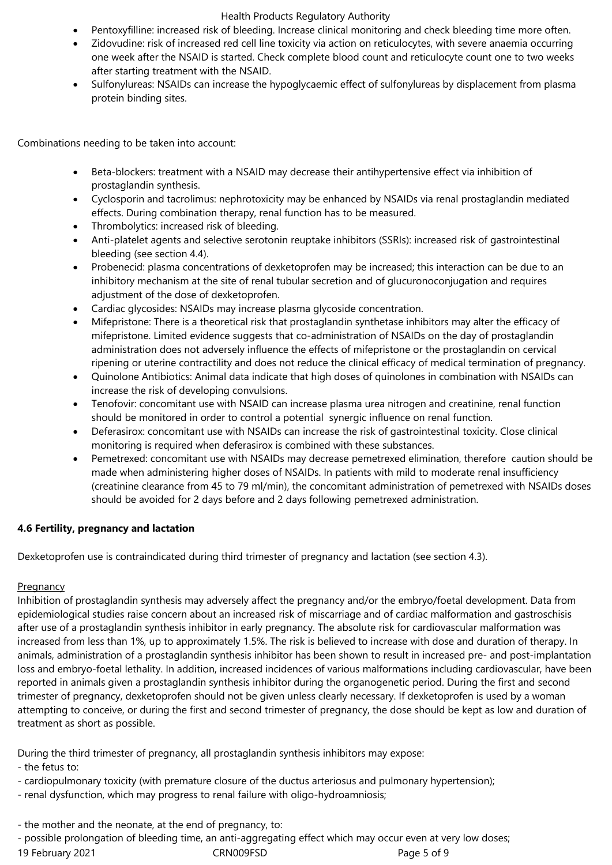- Pentoxyfilline: increased risk of bleeding. Increase clinical monitoring and check bleeding time more often.
- Zidovudine: risk of increased red cell line toxicity via action on reticulocytes, with severe anaemia occurring one week after the NSAID is started. Check complete blood count and reticulocyte count one to two weeks after starting treatment with the NSAID.
- Sulfonylureas: NSAIDs can increase the hypoglycaemic effect of sulfonylureas by displacement from plasma protein binding sites.

Combinations needing to be taken into account:

- Beta-blockers: treatment with a NSAID may decrease their antihypertensive effect via inhibition of prostaglandin synthesis.
- Cyclosporin and tacrolimus: nephrotoxicity may be enhanced by NSAIDs via renal prostaglandin mediated effects. During combination therapy, renal function has to be measured.
- Thrombolytics: increased risk of bleeding.
- Anti-platelet agents and selective serotonin reuptake inhibitors (SSRIs): increased risk of gastrointestinal bleeding (see section 4.4).
- Probenecid: plasma concentrations of dexketoprofen may be increased; this interaction can be due to an inhibitory mechanism at the site of renal tubular secretion and of glucuronoconjugation and requires adjustment of the dose of dexketoprofen.
- Cardiac glycosides: NSAIDs may increase plasma glycoside concentration.
- Mifepristone: There is a theoretical risk that prostaglandin synthetase inhibitors may alter the efficacy of mifepristone. Limited evidence suggests that co-administration of NSAIDs on the day of prostaglandin administration does not adversely influence the effects of mifepristone or the prostaglandin on cervical ripening or uterine contractility and does not reduce the clinical efficacy of medical termination of pregnancy.
- Quinolone Antibiotics: Animal data indicate that high doses of quinolones in combination with NSAIDs can increase the risk of developing convulsions.
- Tenofovir: concomitant use with NSAID can increase plasma urea nitrogen and creatinine, renal function should be monitored in order to control a potential synergic influence on renal function.
- Deferasirox: concomitant use with NSAIDs can increase the risk of gastrointestinal toxicity. Close clinical monitoring is required when deferasirox is combined with these substances.
- Pemetrexed: concomitant use with NSAIDs may decrease pemetrexed elimination, therefore caution should be made when administering higher doses of NSAIDs. In patients with mild to moderate renal insufficiency (creatinine clearance from 45 to 79 ml/min), the concomitant administration of pemetrexed with NSAIDs doses should be avoided for 2 days before and 2 days following pemetrexed administration.

# **4.6 Fertility, pregnancy and lactation**

Dexketoprofen use is contraindicated during third trimester of pregnancy and lactation (see section 4.3).

# **Pregnancy**

Inhibition of prostaglandin synthesis may adversely affect the pregnancy and/or the embryo/foetal development. Data from epidemiological studies raise concern about an increased risk of miscarriage and of cardiac malformation and gastroschisis after use of a prostaglandin synthesis inhibitor in early pregnancy. The absolute risk for cardiovascular malformation was increased from less than 1%, up to approximately 1.5%. The risk is believed to increase with dose and duration of therapy. In animals, administration of a prostaglandin synthesis inhibitor has been shown to result in increased pre- and post-implantation loss and embryo-foetal lethality. In addition, increased incidences of various malformations including cardiovascular, have been reported in animals given a prostaglandin synthesis inhibitor during the organogenetic period. During the first and second trimester of pregnancy, dexketoprofen should not be given unless clearly necessary. If dexketoprofen is used by a woman attempting to conceive, or during the first and second trimester of pregnancy, the dose should be kept as low and duration of treatment as short as possible.

During the third trimester of pregnancy, all prostaglandin synthesis inhibitors may expose:

- the fetus to:
- cardiopulmonary toxicity (with premature closure of the ductus arteriosus and pulmonary hypertension);
- renal dysfunction, which may progress to renal failure with oligo-hydroamniosis;
- the mother and the neonate, at the end of pregnancy, to:
- possible prolongation of bleeding time, an anti-aggregating effect which may occur even at very low doses;
- 19 February 2021 CRN009FSD Page 5 of 9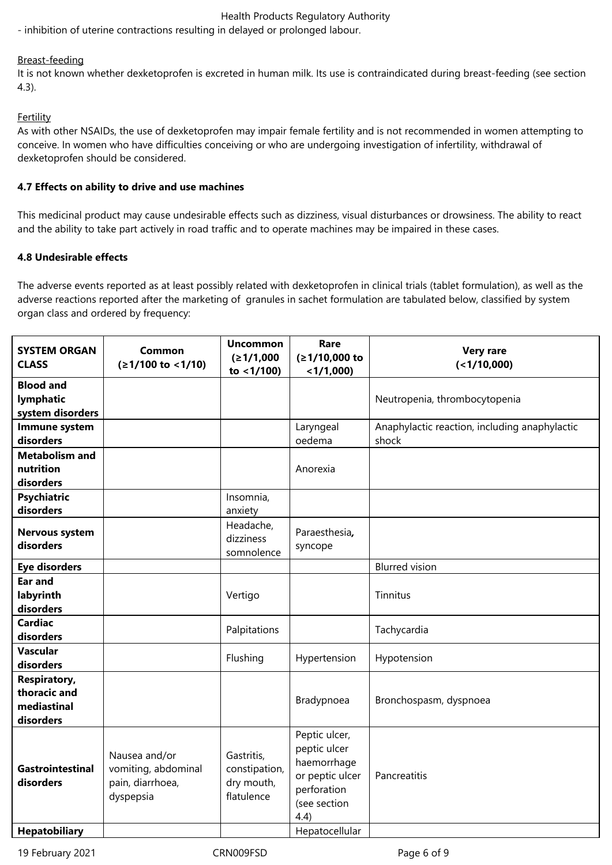- inhibition of uterine contractions resulting in delayed or prolonged labour.

#### Breast-feeding

It is not known whether dexketoprofen is excreted in human milk. Its use is contraindicated during breast-feeding (see section 4.3).

#### **Fertility**

As with other NSAIDs, the use of dexketoprofen may impair female fertility and is not recommended in women attempting to conceive. In women who have difficulties conceiving or who are undergoing investigation of infertility, withdrawal of dexketoprofen should be considered.

#### **4.7 Effects on ability to drive and use machines**

This medicinal product may cause undesirable effects such as dizziness, visual disturbances or drowsiness. The ability to react and the ability to take part actively in road traffic and to operate machines may be impaired in these cases.

### **4.8 Undesirable effects**

The adverse events reported as at least possibly related with dexketoprofen in clinical trials (tablet formulation), as well as the adverse reactions reported after the marketing of granules in sachet formulation are tabulated below, classified by system organ class and ordered by frequency:

| <b>SYSTEM ORGAN</b><br><b>CLASS</b>                             | Common<br>$(≥1/100$ to <1/10)                                         | <b>Uncommon</b><br>(≥1/1,000<br>to $<$ 1/100)           | Rare<br>(≥1/10,000 to<br>$<$ 1/1,000)                                                                  | <b>Very rare</b><br>$($ < 1/10,000)                    |
|-----------------------------------------------------------------|-----------------------------------------------------------------------|---------------------------------------------------------|--------------------------------------------------------------------------------------------------------|--------------------------------------------------------|
| <b>Blood and</b><br>lymphatic<br>system disorders               |                                                                       |                                                         |                                                                                                        | Neutropenia, thrombocytopenia                          |
| Immune system<br>disorders                                      |                                                                       |                                                         | Laryngeal<br>oedema                                                                                    | Anaphylactic reaction, including anaphylactic<br>shock |
| <b>Metabolism and</b><br>nutrition<br>disorders                 |                                                                       |                                                         | Anorexia                                                                                               |                                                        |
| <b>Psychiatric</b><br>disorders                                 |                                                                       | Insomnia,<br>anxiety                                    |                                                                                                        |                                                        |
| <b>Nervous system</b><br>disorders                              |                                                                       | Headache,<br>dizziness<br>somnolence                    | Paraesthesia,<br>syncope                                                                               |                                                        |
| <b>Eye disorders</b>                                            |                                                                       |                                                         |                                                                                                        | <b>Blurred</b> vision                                  |
| <b>Ear and</b><br>labyrinth<br>disorders                        |                                                                       | Vertigo                                                 |                                                                                                        | Tinnitus                                               |
| <b>Cardiac</b><br>disorders                                     |                                                                       | Palpitations                                            |                                                                                                        | Tachycardia                                            |
| <b>Vascular</b><br>disorders                                    |                                                                       | Flushing                                                | Hypertension                                                                                           | Hypotension                                            |
| <b>Respiratory,</b><br>thoracic and<br>mediastinal<br>disorders |                                                                       |                                                         | Bradypnoea                                                                                             | Bronchospasm, dyspnoea                                 |
| <b>Gastrointestinal</b><br>disorders                            | Nausea and/or<br>vomiting, abdominal<br>pain, diarrhoea,<br>dyspepsia | Gastritis,<br>constipation,<br>dry mouth,<br>flatulence | Peptic ulcer,<br>peptic ulcer<br>haemorrhage<br>or peptic ulcer<br>perforation<br>(see section<br>4.4) | Pancreatitis                                           |
| <b>Hepatobiliary</b>                                            |                                                                       |                                                         | Hepatocellular                                                                                         |                                                        |

19 February 2021 CRN009FSD Page 6 of 9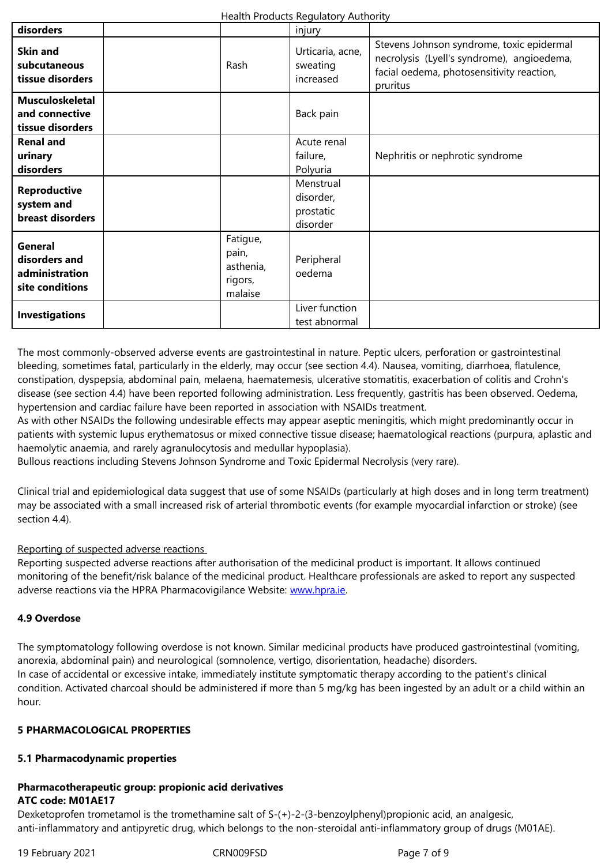| SKIN and<br>subcutaneous<br>tissue disorders                  | Rash                                                 | Urticaria, acrie,<br>sweating<br>increased      | necrolysis (Lyell's syndrome), angioedema,<br>facial oedema, photosensitivity reaction,<br>pruritus |
|---------------------------------------------------------------|------------------------------------------------------|-------------------------------------------------|-----------------------------------------------------------------------------------------------------|
| <b>Musculoskeletal</b><br>and connective<br>tissue disorders  |                                                      | Back pain                                       |                                                                                                     |
| <b>Renal and</b><br>urinary<br>disorders                      |                                                      | Acute renal<br>failure,<br>Polyuria             | Nephritis or nephrotic syndrome                                                                     |
| <b>Reproductive</b><br>system and<br>breast disorders         |                                                      | Menstrual<br>disorder,<br>prostatic<br>disorder |                                                                                                     |
| General<br>disorders and<br>administration<br>site conditions | Fatigue,<br>pain,<br>asthenia,<br>rigors,<br>malaise | Peripheral<br>oedema                            |                                                                                                     |
| <b>Investigations</b>                                         |                                                      | Liver function<br>test abnormal                 |                                                                                                     |

The most commonly-observed adverse events are gastrointestinal in nature. Peptic ulcers, perforation or gastrointestinal bleeding, sometimes fatal, particularly in the elderly, may occur (see section 4.4). Nausea, vomiting, diarrhoea, flatulence, constipation, dyspepsia, abdominal pain, melaena, haematemesis, ulcerative stomatitis, exacerbation of colitis and Crohn's disease (see section 4.4) have been reported following administration. Less frequently, gastritis has been observed. Oedema, hypertension and cardiac failure have been reported in association with NSAIDs treatment.

As with other NSAIDs the following undesirable effects may appear aseptic meningitis, which might predominantly occur in patients with systemic lupus erythematosus or mixed connective tissue disease; haematological reactions (purpura, aplastic and haemolytic anaemia, and rarely agranulocytosis and medullar hypoplasia).

Bullous reactions including Stevens Johnson Syndrome and Toxic Epidermal Necrolysis (very rare).

Clinical trial and epidemiological data suggest that use of some NSAIDs (particularly at high doses and in long term treatment) may be associated with a small increased risk of arterial thrombotic events (for example myocardial infarction or stroke) (see section 4.4).

# Reporting of suspected adverse reactions

Reporting suspected adverse reactions after authorisation of the medicinal product is important. It allows continued monitoring of the benefit/risk balance of the medicinal product. Healthcare professionals are asked to report any suspected adverse reactions via the HPRA Pharmacovigilance Website: www.hpra.ie.

# **4.9 Overdose**

The symptomatology following overdose is not known. Simi[lar medicinal](http://www.hpra.ie/) products have produced gastrointestinal (vomiting, anorexia, abdominal pain) and neurological (somnolence, vertigo, disorientation, headache) disorders. In case of accidental or excessive intake, immediately institute symptomatic therapy according to the patient's clinical condition. Activated charcoal should be administered if more than 5 mg/kg has been ingested by an adult or a child within an hour.

# **5 PHARMACOLOGICAL PROPERTIES**

# **5.1 Pharmacodynamic properties**

### **Pharmacotherapeutic group: propionic acid derivatives ATC code: M01AE17**

Dexketoprofen trometamol is the tromethamine salt of S-(+)-2-(3-benzoylphenyl)propionic acid, an analgesic, anti-inflammatory and antipyretic drug, which belongs to the non-steroidal anti-inflammatory group of drugs (M01AE).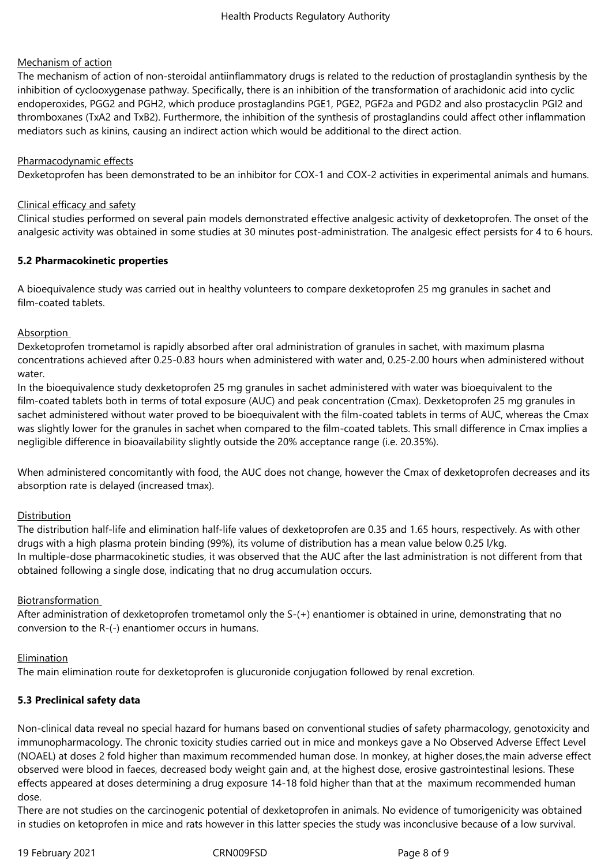#### Mechanism of action

The mechanism of action of non-steroidal antiinflammatory drugs is related to the reduction of prostaglandin synthesis by the inhibition of cyclooxygenase pathway. Specifically, there is an inhibition of the transformation of arachidonic acid into cyclic endoperoxides, PGG2 and PGH2, which produce prostaglandins PGE1, PGE2, PGF2a and PGD2 and also prostacyclin PGI2 and thromboxanes (TxA2 and TxB2). Furthermore, the inhibition of the synthesis of prostaglandins could affect other inflammation mediators such as kinins, causing an indirect action which would be additional to the direct action.

#### Pharmacodynamic effects

Dexketoprofen has been demonstrated to be an inhibitor for COX-1 and COX-2 activities in experimental animals and humans.

#### Clinical efficacy and safety

Clinical studies performed on several pain models demonstrated effective analgesic activity of dexketoprofen. The onset of the analgesic activity was obtained in some studies at 30 minutes post-administration. The analgesic effect persists for 4 to 6 hours.

#### **5.2 Pharmacokinetic properties**

A bioequivalence study was carried out in healthy volunteers to compare dexketoprofen 25 mg granules in sachet and film-coated tablets.

#### Absorption

Dexketoprofen trometamol is rapidly absorbed after oral administration of granules in sachet, with maximum plasma concentrations achieved after 0.25-0.83 hours when administered with water and, 0.25-2.00 hours when administered without water.

In the bioequivalence study dexketoprofen 25 mg granules in sachet administered with water was bioequivalent to the film-coated tablets both in terms of total exposure (AUC) and peak concentration (Cmax). Dexketoprofen 25 mg granules in sachet administered without water proved to be bioequivalent with the film-coated tablets in terms of AUC, whereas the Cmax was slightly lower for the granules in sachet when compared to the film-coated tablets. This small difference in Cmax implies a negligible difference in bioavailability slightly outside the 20% acceptance range (i.e. 20.35%).

When administered concomitantly with food, the AUC does not change, however the Cmax of dexketoprofen decreases and its absorption rate is delayed (increased tmax).

#### Distribution

The distribution half-life and elimination half-life values of dexketoprofen are 0.35 and 1.65 hours, respectively. As with other drugs with a high plasma protein binding (99%), its volume of distribution has a mean value below 0.25 l/kg. In multiple-dose pharmacokinetic studies, it was observed that the AUC after the last administration is not different from that obtained following a single dose, indicating that no drug accumulation occurs.

#### Biotransformation

After administration of dexketoprofen trometamol only the S-(+) enantiomer is obtained in urine, demonstrating that no conversion to the R-(-) enantiomer occurs in humans.

#### Elimination

The main elimination route for dexketoprofen is glucuronide conjugation followed by renal excretion.

# **5.3 Preclinical safety data**

Non-clinical data reveal no special hazard for humans based on conventional studies of safety pharmacology, genotoxicity and immunopharmacology. The chronic toxicity studies carried out in mice and monkeys gave a No Observed Adverse Effect Level (NOAEL) at doses 2 fold higher than maximum recommended human dose. In monkey, at higher doses,the main adverse effect observed were blood in faeces, decreased body weight gain and, at the highest dose, erosive gastrointestinal lesions. These effects appeared at doses determining a drug exposure 14-18 fold higher than that at the maximum recommended human dose.

There are not studies on the carcinogenic potential of dexketoprofen in animals. No evidence of tumorigenicity was obtained in studies on ketoprofen in mice and rats however in this latter species the study was inconclusive because of a low survival.